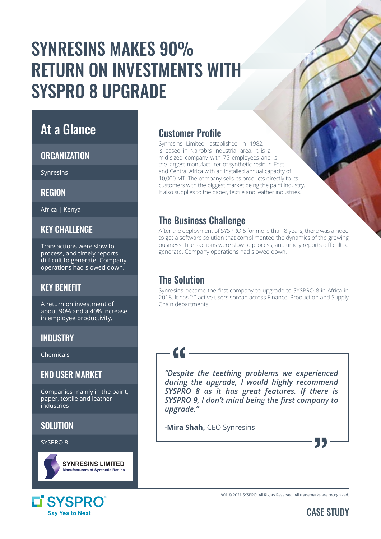# SYNRESINS MAKES 90% RETURN ON INVESTMENTS WITH SYSPRO 8 UPGRADE

### At a Glance

#### **ORGANIZATION**

Synresins

**REGION** 

Africa | Kenya

#### **KFY CHALLENGE**

Transactions were slow to process, and timely reports difficult to generate. Company operations had slowed down.

#### KEY BENEFIT

A return on investment of about 90% and a 40% increase in employee productivity.

#### INDUSTRY

Chemicals

#### END USER MARKET

Companies mainly in the paint, paper, textile and leather industries

#### **SOLUTION**

SYSPRO 8



#### LI SYSPRO **Sav Yes to Next**

#### Customer Profile

Synresins Limited, established in 1982, is based in Nairobi's Industrial area. It is a mid-sized company with 75 employees and is the largest manufacturer of synthetic resin in East and Central Africa with an installed annual capacity of 10,000 MT. The company sells its products directly to its customers with the biggest market being the paint industry. It also supplies to the paper, textile and leather industries.

#### The Business Challenge

After the deployment of SYSPRO 6 for more than 8 years, there was a need to get a software solution that complimented the dynamics of the growing business. Transactions were slow to process, and timely reports difficult to generate. Company operations had slowed down.

### The Solution

 $\epsilon$ 

Synresins became the first company to upgrade to SYSPRO 8 in Africa in 2018. It has 20 active users spread across Finance, Production and Supply Chain departments.

*"Despite the teething problems we experienced during the upgrade, I would highly recommend SYSPRO 8 as it has great features. If there is SYSPRO 9, I don't mind being the first company to upgrade."* 

**-Mira Shah,** CEO Synresins





55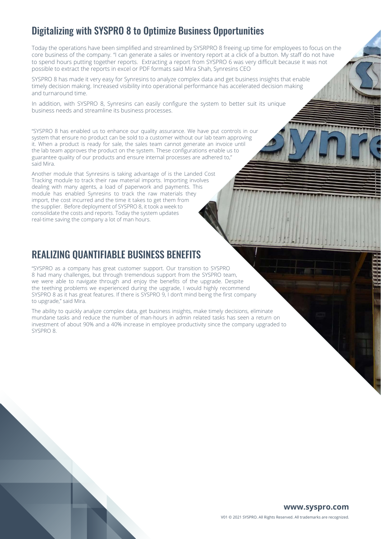#### Digitalizing with SYSPRO 8 to Optimize Business Opportunities

Today the operations have been simplified and streamlined by SYSRPRO 8 freeing up time for employees to focus on the core business of the company. "I can generate a sales or inventory report at a click of a button. My staff do not have to spend hours putting together reports. Extracting a report from SYSPRO 6 was very difficult because it was not possible to extract the reports in excel or PDF formats said Mira Shah, Synresins CEO

SYSPRO 8 has made it very easy for Synresins to analyze complex data and get business insights that enable timely decision making. Increased visibility into operational performance has accelerated decision making and turnaround time.

In addition, with SYSPRO 8, Synresins can easily configure the system to better suit its unique business needs and streamline its business processes.

"SYSPRO 8 has enabled us to enhance our quality assurance. We have put controls in our system that ensure no product can be sold to a customer without our lab team approving it. When a product is ready for sale, the sales team cannot generate an invoice until the lab team approves the product on the system. These configurations enable us to guarantee quality of our products and ensure internal processes are adhered to," said Mira.

Another module that Synresins is taking advantage of is the Landed Cost Tracking module to track their raw material imports. Importing involves dealing with many agents, a load of paperwork and payments. This module has enabled Synresins to track the raw materials they import, the cost incurred and the time it takes to get them from the supplier. Before deployment of SYSPRO 8, it took a week to consolidate the costs and reports. Today the system updates real-time saving the company a lot of man hours.

#### REALIZING QUANTIFIABLE BUSINESS BENEFITS

"SYSPRO as a company has great customer support. Our transition to SYSPRO 8 had many challenges, but through tremendous support from the SYSPRO team, we were able to navigate through and enjoy the benefits of the upgrade. Despite the teething problems we experienced during the upgrade, I would highly recommend SYSPRO 8 as it has great features. If there is SYSPRO 9, I don't mind being the first company to upgrade," said Mira.

The ability to quickly analyze complex data, get business insights, make timely decisions, eliminate mundane tasks and reduce the number of man-hours in admin related tasks has seen a return on investment of about 90% and a 40% increase in employee productivity since the company upgraded to SYSPRO 8.

#### **www.syspro.com** V01 © 2021 SYSPRO. All Rights Reserved. All trademarks are recognized.